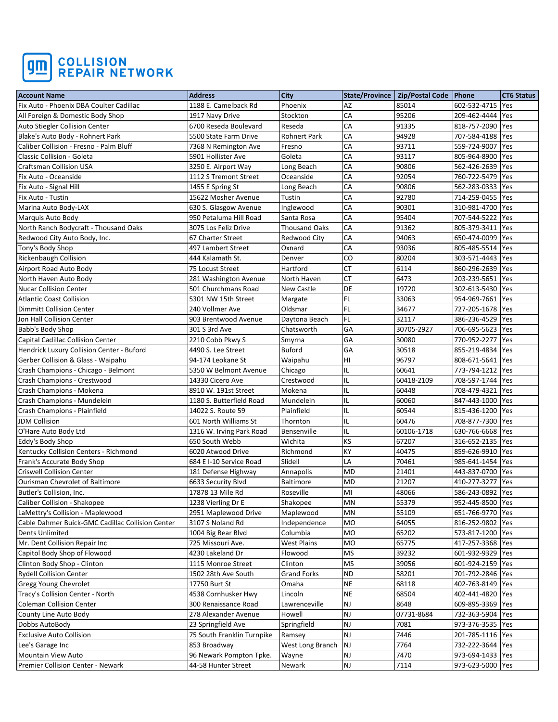

| <b>Account Name</b>                              | <b>Address</b>             | <b>City</b>          |               | State/Province   Zip/Postal Code   Phone |                    | <b>CT6 Status</b> |
|--------------------------------------------------|----------------------------|----------------------|---------------|------------------------------------------|--------------------|-------------------|
| Fix Auto - Phoenix DBA Coulter Cadillac          | 1188 E. Camelback Rd       | Phoenix              | AZ            | 85014                                    | 602-532-4715       | Yes               |
| All Foreign & Domestic Body Shop                 | 1917 Navy Drive            | Stockton             | CA            | 95206                                    | 209-462-4444       | Yes               |
| Auto Stiegler Collision Center                   | 6700 Reseda Boulevard      | Reseda               | CA            | 91335                                    | 818-757-2090       | Yes               |
| Blake's Auto Body - Rohnert Park                 | 5500 State Farm Drive      | <b>Rohnert Park</b>  | CA            | 94928                                    | 707-584-4188 Yes   |                   |
| Caliber Collision - Fresno - Palm Bluff          | 7368 N Remington Ave       | Fresno               | CA            | 93711                                    | 559-724-9007 Yes   |                   |
| Classic Collision - Goleta                       | 5901 Hollister Ave         | Goleta               | CA            | 93117                                    | 805-964-8900 Yes   |                   |
| <b>Craftsman Collision USA</b>                   | 3250 E. Airport Way        | Long Beach           | CA            | 90806                                    | 562-426-2639 Yes   |                   |
| Fix Auto - Oceanside                             | 1112 S Tremont Street      | Oceanside            | CA            | 92054                                    | 760-722-5479       | Yes               |
| Fix Auto - Signal Hill                           | 1455 E Spring St           | Long Beach           | CA            | 90806                                    | 562-283-0333 Yes   |                   |
| Fix Auto - Tustin                                | 15622 Mosher Avenue        | Tustin               | CA            | 92780                                    | 714-259-0455   Yes |                   |
| Marina Auto Body-LAX                             | 630 S. Glasgow Avenue      | Inglewood            | CA            | 90301                                    | 310-981-4700 Yes   |                   |
| Marquis Auto Body                                | 950 Petaluma Hill Road     | Santa Rosa           | CA            | 95404                                    | 707-544-5222 Yes   |                   |
| North Ranch Bodycraft - Thousand Oaks            | 3075 Los Feliz Drive       | <b>Thousand Oaks</b> | CA            | 91362                                    | 805-379-3411 Yes   |                   |
| Redwood City Auto Body, Inc.                     | 67 Charter Street          | Redwood City         | CA            | 94063                                    | 650-474-0099       | <b>Yes</b>        |
| Tony's Body Shop                                 | 497 Lambert Street         | Oxnard               | CA            | 93036                                    | 805-485-5514 Yes   |                   |
| Rickenbaugh Collision                            | 444 Kalamath St.           | Denver               | CO            | 80204                                    | 303-571-4443 Yes   |                   |
| Airport Road Auto Body                           | 75 Locust Street           | Hartford             | CT            | 6114                                     | 860-296-2639 Yes   |                   |
| North Haven Auto Body                            | 281 Washington Avenue      | North Haven          | <b>CT</b>     | 6473                                     | 203-239-5651       | Yes               |
| <b>Nucar Collision Center</b>                    | 501 Churchmans Road        | New Castle           | DE            | 19720                                    | 302-613-5430 Yes   |                   |
| <b>Atlantic Coast Collision</b>                  | 5301 NW 15th Street        | Margate              | <b>FL</b>     | 33063                                    | 954-969-7661 Yes   |                   |
| <b>Dimmitt Collision Center</b>                  | 240 Vollmer Ave            | Oldsmar              | FL            | 34677                                    | 727-205-1678   Yes |                   |
| Jon Hall Collision Center                        | 903 Brentwood Avenue       | Daytona Beach        | <b>FL</b>     | 32117                                    | 386-236-4529 Yes   |                   |
| Babb's Body Shop                                 | 301 S 3rd Ave              | Chatsworth           | GA            | 30705-2927                               | 706-695-5623 Yes   |                   |
| Capital Cadillac Collision Center                | 2210 Cobb Pkwy S           | Smyrna               | GA            | 30080                                    | 770-952-2277       | Yes               |
| Hendrick Luxury Collision Center - Buford        | 4490 S. Lee Street         | <b>Buford</b>        | GA            | 30518                                    | 855-219-4834 Yes   |                   |
| Gerber Collision & Glass - Waipahu               | 94-174 Leokane St          | Waipahu              | H1            | 96797                                    | 808-671-5641       | Yes               |
| Crash Champions - Chicago - Belmont              | 5350 W Belmont Avenue      | Chicago              | IL            | 60641                                    | 773-794-1212 Yes   |                   |
| Crash Champions - Crestwood                      | 14330 Cicero Ave           | Crestwood            | IL            | 60418-2109                               | 708-597-1744   Yes |                   |
| Crash Champions - Mokena                         | 8910 W. 191st Street       | Mokena               | IL            | 60448                                    | 708-479-4321       | Yes               |
| Crash Champions - Mundelein                      | 1180 S. Butterfield Road   | Mundelein            | IL            | 60060                                    | 847-443-1000       | Yes               |
| Crash Champions - Plainfield                     | 14022 S. Route 59          | Plainfield           | IL            | 60544                                    | 815-436-1200 Yes   |                   |
| JDM Collision                                    | 601 North Williams St      | Thornton             | IL            | 60476                                    | 708-877-7300       | Yes               |
| O'Hare Auto Body Ltd                             | 1316 W. Irving Park Road   | Bensenville          | IL            | 60106-1718                               | 630-766-6668       | Yes               |
| Eddy's Body Shop                                 | 650 South Webb             | Wichita              | KS            | 67207                                    | 316-652-2135   Yes |                   |
| Kentucky Collision Centers - Richmond            | 6020 Atwood Drive          | Richmond             | KY            | 40475                                    | 859-626-9910   Yes |                   |
| Frank's Accurate Body Shop                       | 684 E I-10 Service Road    | Slidell              | LA            | 70461                                    | 985-641-1454 Yes   |                   |
| <b>Criswell Collision Center</b>                 | 181 Defense Highway        | Annapolis            | MD            | 21401                                    | 443-837-0700 Yes   |                   |
| Ourisman Chevrolet of Baltimore                  | 6633 Security Blvd         | <b>Baltimore</b>     | MD            | 21207                                    | 410-277-3277       | Yes               |
| Butler's Collision, Inc.                         | 17878 13 Mile Rd           | Roseville            | MI            | 48066                                    | 586-243-0892 Yes   |                   |
| Caliber Collision - Shakopee                     | 1238 Vierling Dr E         | Shakopee             | MN            | 55379                                    | 952-445-8500 Yes   |                   |
| LaMettry's Collision - Maplewood                 | 2951 Maplewood Drive       | Maplewood            | MN            | 55109                                    | 651-766-9770   Yes |                   |
| Cable Dahmer Buick-GMC Cadillac Collision Center | 3107 S Noland Rd           | Independence         | <b>MO</b>     | 64055                                    | 816-252-9802   Yes |                   |
| <b>Dents Unlimited</b>                           | 1004 Big Bear Blvd         | Columbia             | <b>MO</b>     | 65202                                    | 573-817-1200 Yes   |                   |
| Mr. Dent Collision Repair Inc                    | 725 Missouri Ave.          | <b>West Plains</b>   | <b>MO</b>     | 65775                                    | 417-257-3368 Yes   |                   |
| Capitol Body Shop of Flowood                     | 4230 Lakeland Dr           | Flowood              | <b>MS</b>     | 39232                                    | 601-932-9329 Yes   |                   |
| Clinton Body Shop - Clinton                      | 1115 Monroe Street         | Clinton              | <b>MS</b>     | 39056                                    | 601-924-2159 Yes   |                   |
| <b>Rydell Collision Center</b>                   | 1502 28th Ave South        | Grand Forks          | <b>ND</b>     | 58201                                    | 701-792-2846 Yes   |                   |
| Gregg Young Chevrolet                            | 17750 Burt St              | Omaha                | <b>NE</b>     | 68118                                    | 402-763-8149 Yes   |                   |
| Tracy's Collision Center - North                 | 4538 Cornhusker Hwy        | Lincoln              | <b>NE</b>     | 68504                                    | 402-441-4820 Yes   |                   |
| <b>Coleman Collision Center</b>                  | 300 Renaissance Road       | Lawrenceville        | <b>NJ</b>     | 8648                                     | 609-895-3369 Yes   |                   |
| County Line Auto Body                            | 278 Alexander Avenue       | Howell               | NJ            | 07731-8684                               | 732-363-5904 Yes   |                   |
| Dobbs AutoBody                                   | 23 Springfield Ave         | Springfield          | NJ            | 7081                                     | 973-376-3535 Yes   |                   |
| <b>Exclusive Auto Collision</b>                  | 75 South Franklin Turnpike | Ramsey               | NJ            | 7446                                     | 201-785-1116 Yes   |                   |
| Lee's Garage Inc                                 | 853 Broadway               | West Long Branch     | NJ            | 7764                                     | 732-222-3644 Yes   |                   |
| Mountain View Auto                               | 96 Newark Pompton Tpke.    | Wayne                | NJ            | 7470                                     | 973-694-1433 Yes   |                   |
| Premier Collision Center - Newark                | 44-58 Hunter Street        | Newark               | $\mathsf{NJ}$ | 7114                                     | 973-623-5000 Yes   |                   |
|                                                  |                            |                      |               |                                          |                    |                   |